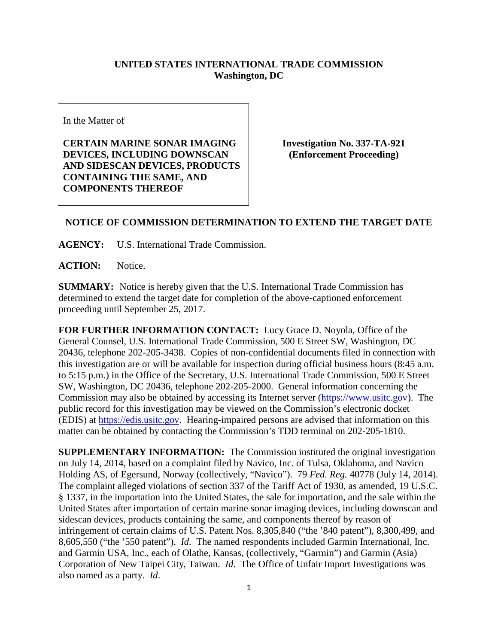## **UNITED STATES INTERNATIONAL TRADE COMMISSION Washington, DC**

In the Matter of

**CERTAIN MARINE SONAR IMAGING DEVICES, INCLUDING DOWNSCAN AND SIDESCAN DEVICES, PRODUCTS CONTAINING THE SAME, AND COMPONENTS THEREOF**

**Investigation No. 337-TA-921 (Enforcement Proceeding)**

## **NOTICE OF COMMISSION DETERMINATION TO EXTEND THE TARGET DATE**

**AGENCY:** U.S. International Trade Commission.

**ACTION:** Notice.

**SUMMARY:** Notice is hereby given that the U.S. International Trade Commission has determined to extend the target date for completion of the above-captioned enforcement proceeding until September 25, 2017.

**FOR FURTHER INFORMATION CONTACT:** Lucy Grace D. Noyola, Office of the General Counsel, U.S. International Trade Commission, 500 E Street SW, Washington, DC 20436, telephone 202-205-3438. Copies of non-confidential documents filed in connection with this investigation are or will be available for inspection during official business hours (8:45 a.m. to 5:15 p.m.) in the Office of the Secretary, U.S. International Trade Commission, 500 E Street SW, Washington, DC 20436, telephone 202-205-2000. General information concerning the Commission may also be obtained by accessing its Internet server [\(https://www.usitc.gov\)](https://www.usitc.gov/). The public record for this investigation may be viewed on the Commission's electronic docket (EDIS) at [https://edis.usitc.gov.](https://edis.usitc.gov/) Hearing-impaired persons are advised that information on this matter can be obtained by contacting the Commission's TDD terminal on 202-205-1810.

**SUPPLEMENTARY INFORMATION:** The Commission instituted the original investigation on July 14, 2014, based on a complaint filed by Navico, Inc. of Tulsa, Oklahoma, and Navico Holding AS, of Egersund, Norway (collectively, "Navico"). 79 *Fed. Reg.* 40778 (July 14, 2014). The complaint alleged violations of section 337 of the Tariff Act of 1930, as amended, 19 U.S.C. § 1337, in the importation into the United States, the sale for importation, and the sale within the United States after importation of certain marine sonar imaging devices, including downscan and sidescan devices, products containing the same, and components thereof by reason of infringement of certain claims of U.S. Patent Nos. 8,305,840 ("the '840 patent"), 8,300,499, and 8,605,550 ("the '550 patent"). *Id*. The named respondents included Garmin International, Inc. and Garmin USA, Inc., each of Olathe, Kansas, (collectively, "Garmin") and Garmin (Asia) Corporation of New Taipei City, Taiwan. *Id*. The Office of Unfair Import Investigations was also named as a party. *Id*.